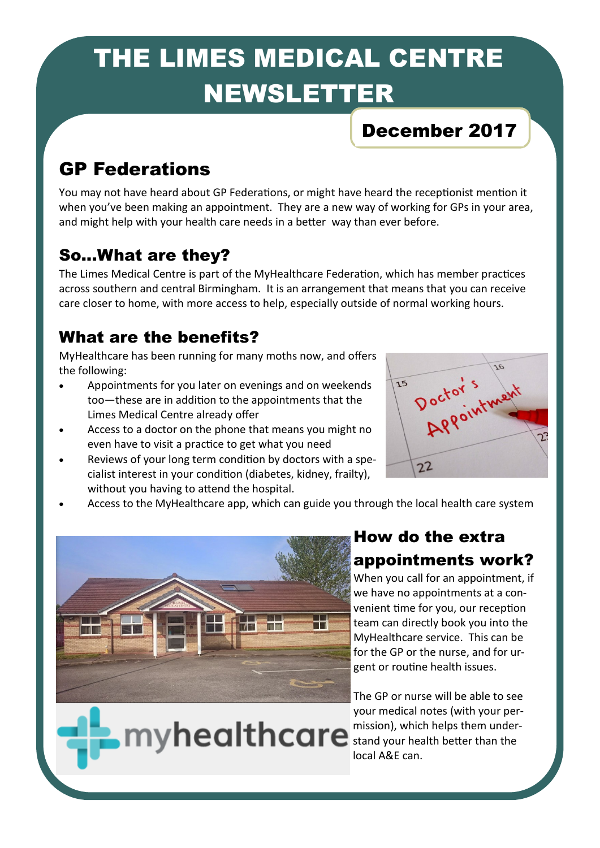# THE LIMES MEDICAL CENTRE NEWSLETTER

# December 2017

# GP Federations

You may not have heard about GP Federations, or might have heard the receptionist mention it when you've been making an appointment. They are a new way of working for GPs in your area, and might help with your health care needs in a better way than ever before.

## So...What are they?

The Limes Medical Centre is part of the MyHealthcare Federation, which has member practices across southern and central Birmingham. It is an arrangement that means that you can receive care closer to home, with more access to help, especially outside of normal working hours.

### What are the benefits?

MyHealthcare has been running for many moths now, and offers the following:

- Appointments for you later on evenings and on weekends too—these are in addition to the appointments that the Limes Medical Centre already offer
- Access to a doctor on the phone that means you might no even have to visit a practice to get what you need
- Reviews of your long term condition by doctors with a specialist interest in your condition (diabetes, kidney, frailty), without you having to attend the hospital.



Access to the MyHealthcare app, which can guide you through the local health care system



myhealthcare

## How do the extra appointments work?

When you call for an appointment, if we have no appointments at a convenient time for you, our reception team can directly book you into the MyHealthcare service. This can be for the GP or the nurse, and for urgent or routine health issues.

The GP or nurse will be able to see your medical notes (with your permission), which helps them understand your health better than the local A&E can.